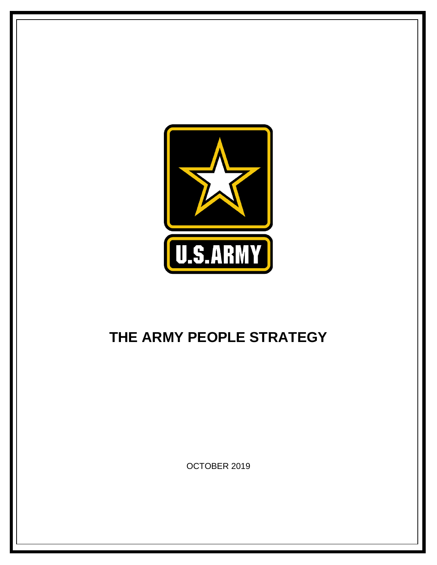

## **THE ARMY PEOPLE STRATEGY**

OCTOBER 2019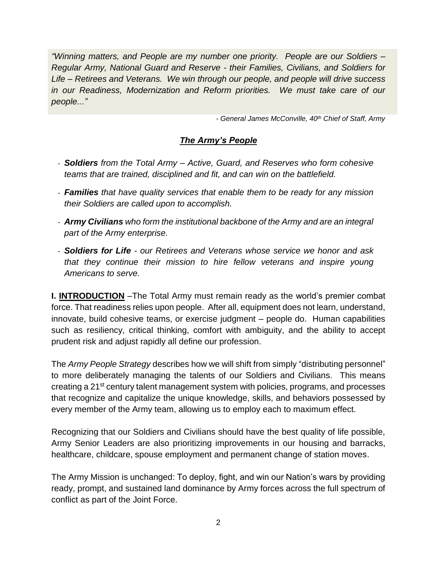*"Winning matters, and People are my number one priority. People are our Soldiers – Regular Army, National Guard and Reserve - their Families, Civilians, and Soldiers for Life – Retirees and Veterans. We win through our people, and people will drive success in our Readiness, Modernization and Reform priorities. We must take care of our people..."*

*- General James McConville, 40th Chief of Staff, Army*

## *The Army's People*

- *Soldiers from the Total Army – Active, Guard, and Reserves who form cohesive teams that are trained, disciplined and fit, and can win on the battlefield.*
- *Families that have quality services that enable them to be ready for any mission their Soldiers are called upon to accomplish.*
- *Army Civilians who form the institutional backbone of the Army and are an integral part of the Army enterprise.*
- *Soldiers for Life - our Retirees and Veterans whose service we honor and ask that they continue their mission to hire fellow veterans and inspire young Americans to serve.*

**I. INTRODUCTION** –The Total Army must remain ready as the world's premier combat force. That readiness relies upon people. After all, equipment does not learn, understand, innovate, build cohesive teams, or exercise judgment – people do. Human capabilities such as resiliency, critical thinking, comfort with ambiguity, and the ability to accept prudent risk and adjust rapidly all define our profession.

The *Army People Strategy* describes how we will shift from simply "distributing personnel" to more deliberately managing the talents of our Soldiers and Civilians. This means creating a 21st century talent management system with policies, programs, and processes that recognize and capitalize the unique knowledge, skills, and behaviors possessed by every member of the Army team, allowing us to employ each to maximum effect.

Recognizing that our Soldiers and Civilians should have the best quality of life possible, Army Senior Leaders are also prioritizing improvements in our housing and barracks, healthcare, childcare, spouse employment and permanent change of station moves.

The Army Mission is unchanged: To deploy, fight, and win our Nation's wars by providing ready, prompt, and sustained land dominance by Army forces across the full spectrum of conflict as part of the Joint Force.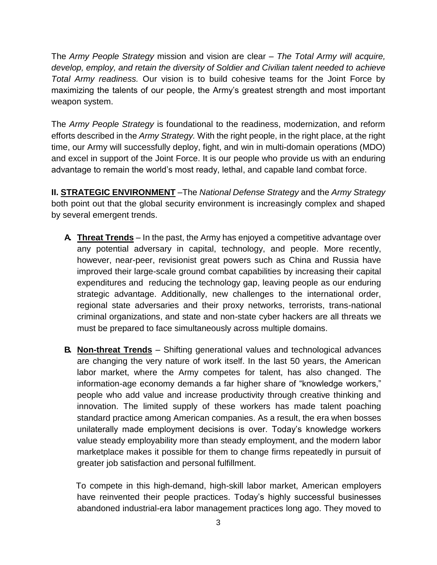The *Army People Strategy* mission and vision are clear *– The Total Army will acquire, develop, employ, and retain the diversity of Soldier and Civilian talent needed to achieve Total Army readiness.* Our vision is to build cohesive teams for the Joint Force by maximizing the talents of our people, the Army's greatest strength and most important weapon system.

The *Army People Strategy* is foundational to the readiness, modernization, and reform efforts described in the *Army Strategy.* With the right people, in the right place, at the right time, our Army will successfully deploy, fight, and win in multi-domain operations (MDO) and excel in support of the Joint Force. It is our people who provide us with an enduring advantage to remain the world's most ready, lethal, and capable land combat force.

**II. STRATEGIC ENVIRONMENT** –The *National Defense Strategy* and the *Army Strategy*  both point out that the global security environment is increasingly complex and shaped by several emergent trends.

- **A. Threat Trends** In the past, the Army has enjoyed a competitive advantage over any potential adversary in capital, technology, and people. More recently, however, near-peer, revisionist great powers such as China and Russia have improved their large-scale ground combat capabilities by increasing their capital expenditures and reducing the technology gap, leaving people as our enduring strategic advantage. Additionally, new challenges to the international order, regional state adversaries and their proxy networks, terrorists, trans-national criminal organizations, and state and non-state cyber hackers are all threats we must be prepared to face simultaneously across multiple domains.
- **B. Non-threat Trends** Shifting generational values and technological advances are changing the very nature of work itself. In the last 50 years, the American labor market, where the Army competes for talent, has also changed. The information-age economy demands a far higher share of "knowledge workers," people who add value and increase productivity through creative thinking and innovation. The limited supply of these workers has made talent poaching standard practice among American companies. As a result, the era when bosses unilaterally made employment decisions is over. Today's knowledge workers value steady employability more than steady employment, and the modern labor marketplace makes it possible for them to change firms repeatedly in pursuit of greater job satisfaction and personal fulfillment.

To compete in this high-demand, high-skill labor market, American employers have reinvented their people practices. Today's highly successful businesses abandoned industrial-era labor management practices long ago. They moved to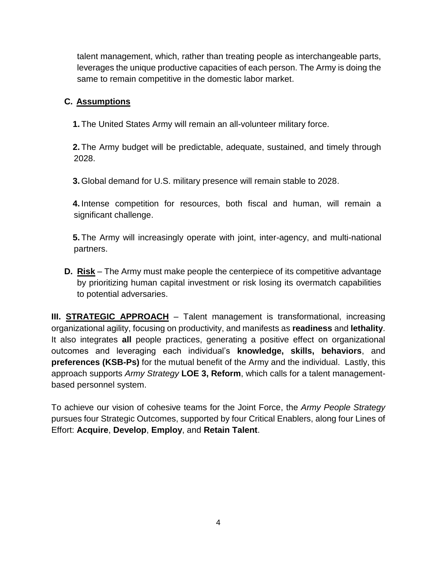talent management, which, rather than treating people as interchangeable parts, leverages the unique productive capacities of each person. The Army is doing the same to remain competitive in the domestic labor market.

## **C. Assumptions**

**1.** The United States Army will remain an all-volunteer military force.

**2.** The Army budget will be predictable, adequate, sustained, and timely through 2028.

**3.** Global demand for U.S. military presence will remain stable to 2028.

**4.** Intense competition for resources, both fiscal and human, will remain a significant challenge.

**5.** The Army will increasingly operate with joint, inter-agency, and multi-national partners.

**D. Risk** – The Army must make people the centerpiece of its competitive advantage by prioritizing human capital investment or risk losing its overmatch capabilities to potential adversaries.

**III. STRATEGIC APPROACH** – Talent management is transformational, increasing organizational agility, focusing on productivity, and manifests as **readiness** and **lethality**. It also integrates **all** people practices, generating a positive effect on organizational outcomes and leveraging each individual's **knowledge, skills, behaviors**, and **preferences (KSB-Ps)** for the mutual benefit of the Army and the individual. Lastly, this approach supports *Army Strategy* **LOE 3, Reform**, which calls for a talent managementbased personnel system.

To achieve our vision of cohesive teams for the Joint Force, the *Army People Strategy* pursues four Strategic Outcomes, supported by four Critical Enablers, along four Lines of Effort: **Acquire**, **Develop**, **Employ**, and **Retain Talent**.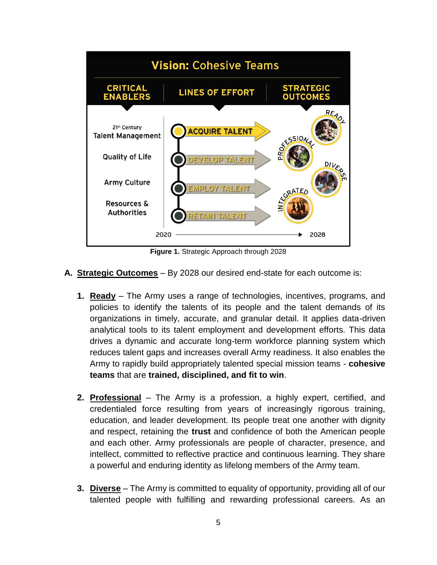

**Figure 1.** Strategic Approach through 2028

- **A. Strategic Outcomes** By 2028 our desired end-state for each outcome is:
	- **1. Ready** The Army uses a range of technologies, incentives, programs, and policies to identify the talents of its people and the talent demands of its organizations in timely, accurate, and granular detail. It applies data-driven analytical tools to its talent employment and development efforts. This data drives a dynamic and accurate long-term workforce planning system which reduces talent gaps and increases overall Army readiness. It also enables the Army to rapidly build appropriately talented special mission teams - **cohesive teams** that are **trained, disciplined, and fit to win**.
	- **2. Professional** The Army is a profession, a highly expert, certified, and credentialed force resulting from years of increasingly rigorous training, education, and leader development. Its people treat one another with dignity and respect, retaining the **trust** and confidence of both the American people and each other. Army professionals are people of character, presence, and intellect, committed to reflective practice and continuous learning. They share a powerful and enduring identity as lifelong members of the Army team.
	- **3. Diverse** *–* The Army is committed to equality of opportunity, providing all of our talented people with fulfilling and rewarding professional careers. As an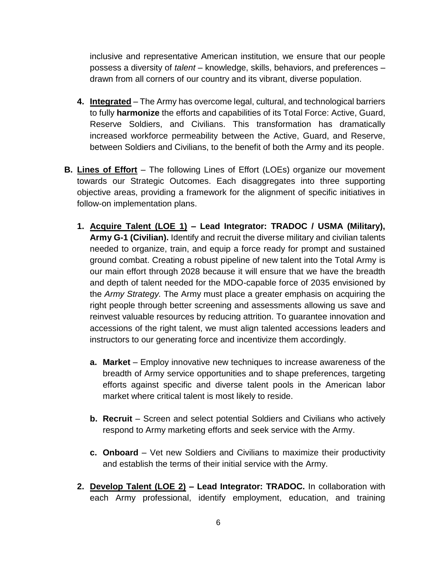inclusive and representative American institution, we ensure that our people possess a diversity of *talent* – knowledge, skills, behaviors, and preferences – drawn from all corners of our country and its vibrant, diverse population.

- **4. Integrated** The Army has overcome legal, cultural, and technological barriers to fully **harmonize** the efforts and capabilities of its Total Force: Active, Guard, Reserve Soldiers, and Civilians. This transformation has dramatically increased workforce permeability between the Active, Guard, and Reserve, between Soldiers and Civilians, to the benefit of both the Army and its people.
- **B. Lines of Effort** The following Lines of Effort (LOEs) organize our movement towards our Strategic Outcomes. Each disaggregates into three supporting objective areas, providing a framework for the alignment of specific initiatives in follow-on implementation plans.
	- **1. Acquire Talent (LOE 1) – Lead Integrator: TRADOC / USMA (Military), Army G-1 (Civilian).** Identify and recruit the diverse military and civilian talents needed to organize, train, and equip a force ready for prompt and sustained ground combat. Creating a robust pipeline of new talent into the Total Army is our main effort through 2028 because it will ensure that we have the breadth and depth of talent needed for the MDO-capable force of 2035 envisioned by the *Army Strategy.* The Army must place a greater emphasis on acquiring the right people through better screening and assessments allowing us save and reinvest valuable resources by reducing attrition. To guarantee innovation and accessions of the right talent, we must align talented accessions leaders and instructors to our generating force and incentivize them accordingly.
		- **a.** Market Employ innovative new techniques to increase awareness of the breadth of Army service opportunities and to shape preferences, targeting efforts against specific and diverse talent pools in the American labor market where critical talent is most likely to reside.
		- **b. Recruit** Screen and select potential Soldiers and Civilians who actively respond to Army marketing efforts and seek service with the Army.
		- **c. Onboard**  Vet new Soldiers and Civilians to maximize their productivity and establish the terms of their initial service with the Army.
	- **2. Develop Talent (LOE 2) – Lead Integrator: TRADOC.** In collaboration with each Army professional, identify employment, education, and training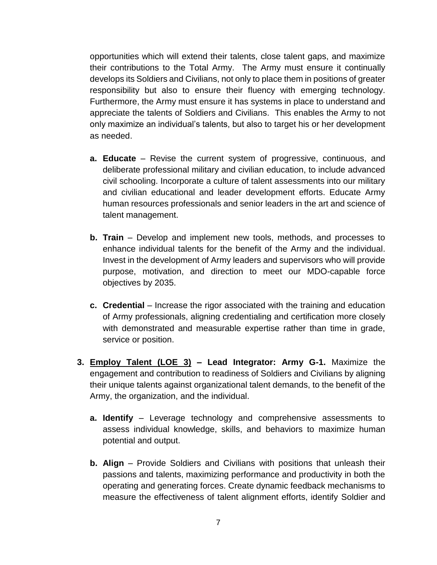opportunities which will extend their talents, close talent gaps, and maximize their contributions to the Total Army. The Army must ensure it continually develops its Soldiers and Civilians, not only to place them in positions of greater responsibility but also to ensure their fluency with emerging technology. Furthermore, the Army must ensure it has systems in place to understand and appreciate the talents of Soldiers and Civilians. This enables the Army to not only maximize an individual's talents, but also to target his or her development as needed.

- **a. Educate** Revise the current system of progressive, continuous, and deliberate professional military and civilian education, to include advanced civil schooling. Incorporate a culture of talent assessments into our military and civilian educational and leader development efforts. Educate Army human resources professionals and senior leaders in the art and science of talent management.
- **b. Train** Develop and implement new tools, methods, and processes to enhance individual talents for the benefit of the Army and the individual. Invest in the development of Army leaders and supervisors who will provide purpose, motivation, and direction to meet our MDO-capable force objectives by 2035.
- **c. Credential** Increase the rigor associated with the training and education of Army professionals, aligning credentialing and certification more closely with demonstrated and measurable expertise rather than time in grade, service or position.
- **3. Employ Talent (LOE 3) – Lead Integrator: Army G-1.** Maximize the engagement and contribution to readiness of Soldiers and Civilians by aligning their unique talents against organizational talent demands, to the benefit of the Army, the organization, and the individual.
	- **a. Identify**  Leverage technology and comprehensive assessments to assess individual knowledge, skills, and behaviors to maximize human potential and output.
	- **b. Align**  Provide Soldiers and Civilians with positions that unleash their passions and talents, maximizing performance and productivity in both the operating and generating forces. Create dynamic feedback mechanisms to measure the effectiveness of talent alignment efforts, identify Soldier and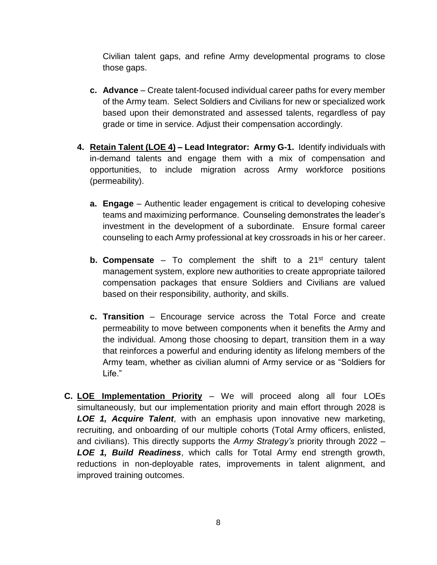Civilian talent gaps, and refine Army developmental programs to close those gaps.

- **c. Advance**  Create talent-focused individual career paths for every member of the Army team. Select Soldiers and Civilians for new or specialized work based upon their demonstrated and assessed talents, regardless of pay grade or time in service. Adjust their compensation accordingly.
- **4. Retain Talent (LOE 4) – Lead Integrator: Army G-1.** Identify individuals with in-demand talents and engage them with a mix of compensation and opportunities, to include migration across Army workforce positions (permeability).
	- **a. Engage**  Authentic leader engagement is critical to developing cohesive teams and maximizing performance. Counseling demonstrates the leader's investment in the development of a subordinate. Ensure formal career counseling to each Army professional at key crossroads in his or her career.
	- **b. Compensate** To complement the shift to a 21<sup>st</sup> century talent management system, explore new authorities to create appropriate tailored compensation packages that ensure Soldiers and Civilians are valued based on their responsibility, authority, and skills.
	- **c. Transition**  Encourage service across the Total Force and create permeability to move between components when it benefits the Army and the individual. Among those choosing to depart, transition them in a way that reinforces a powerful and enduring identity as lifelong members of the Army team, whether as civilian alumni of Army service or as "Soldiers for Life."
- **C. LOE Implementation Priority** We will proceed along all four LOEs simultaneously, but our implementation priority and main effort through 2028 is *LOE 1, Acquire Talent*, with an emphasis upon innovative new marketing, recruiting, and onboarding of our multiple cohorts (Total Army officers, enlisted, and civilians). This directly supports the *Army Strategy's* priority through 2022 – *LOE 1, Build Readiness*, which calls for Total Army end strength growth, reductions in non-deployable rates, improvements in talent alignment, and improved training outcomes.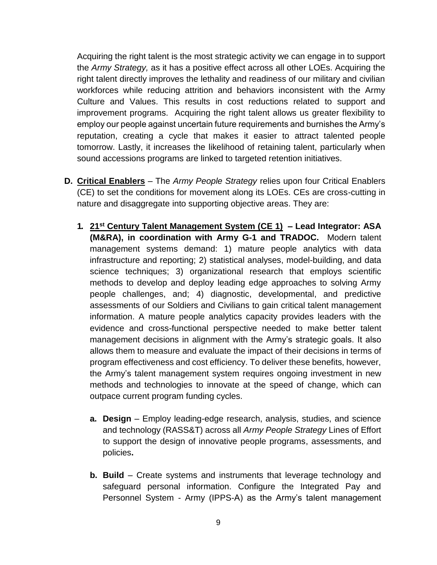Acquiring the right talent is the most strategic activity we can engage in to support the *Army Strategy,* as it has a positive effect across all other LOEs. Acquiring the right talent directly improves the lethality and readiness of our military and civilian workforces while reducing attrition and behaviors inconsistent with the Army Culture and Values. This results in cost reductions related to support and improvement programs. Acquiring the right talent allows us greater flexibility to employ our people against uncertain future requirements and burnishes the Army's reputation, creating a cycle that makes it easier to attract talented people tomorrow. Lastly, it increases the likelihood of retaining talent, particularly when sound accessions programs are linked to targeted retention initiatives.

- **D. Critical Enablers** The *Army People Strategy* relies upon four Critical Enablers (CE) to set the conditions for movement along its LOEs. CEs are cross-cutting in nature and disaggregate into supporting objective areas. They are:
	- **1. 21st Century Talent Management System (CE 1) – Lead Integrator: ASA (M&RA), in coordination with Army G-1 and TRADOC.** Modern talent management systems demand: 1) mature people analytics with data infrastructure and reporting; 2) statistical analyses, model-building, and data science techniques; 3) organizational research that employs scientific methods to develop and deploy leading edge approaches to solving Army people challenges, and; 4) diagnostic, developmental, and predictive assessments of our Soldiers and Civilians to gain critical talent management information. A mature people analytics capacity provides leaders with the evidence and cross-functional perspective needed to make better talent management decisions in alignment with the Army's strategic goals. It also allows them to measure and evaluate the impact of their decisions in terms of program effectiveness and cost efficiency. To deliver these benefits, however, the Army's talent management system requires ongoing investment in new methods and technologies to innovate at the speed of change, which can outpace current program funding cycles.
		- **a. Design**  Employ leading-edge research, analysis, studies, and science and technology (RASS&T) across all *Army People Strategy* Lines of Effort to support the design of innovative people programs, assessments, and policies**.**
		- **b. Build**  Create systems and instruments that leverage technology and safeguard personal information. Configure the Integrated Pay and Personnel System - Army (IPPS-A) as the Army's talent management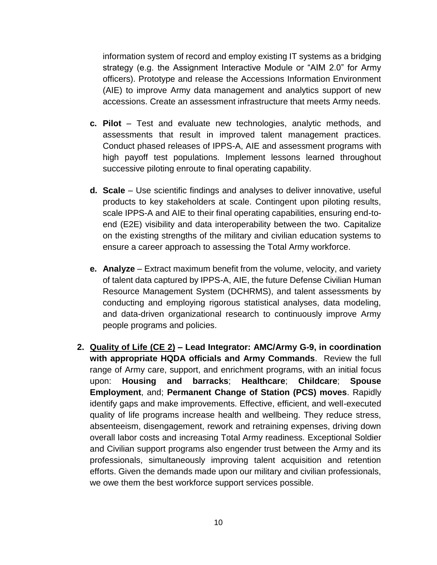information system of record and employ existing IT systems as a bridging strategy (e.g. the Assignment Interactive Module or "AIM 2.0" for Army officers). Prototype and release the Accessions Information Environment (AIE) to improve Army data management and analytics support of new accessions. Create an assessment infrastructure that meets Army needs.

- **c. Pilot**  Test and evaluate new technologies, analytic methods, and assessments that result in improved talent management practices. Conduct phased releases of IPPS-A, AIE and assessment programs with high payoff test populations. Implement lessons learned throughout successive piloting enroute to final operating capability.
- **d. Scale**  Use scientific findings and analyses to deliver innovative, useful products to key stakeholders at scale. Contingent upon piloting results, scale IPPS-A and AIE to their final operating capabilities, ensuring end-toend (E2E) visibility and data interoperability between the two. Capitalize on the existing strengths of the military and civilian education systems to ensure a career approach to assessing the Total Army workforce.
- **e. Analyze**  Extract maximum benefit from the volume, velocity, and variety of talent data captured by IPPS-A, AIE, the future Defense Civilian Human Resource Management System (DCHRMS), and talent assessments by conducting and employing rigorous statistical analyses, data modeling, and data-driven organizational research to continuously improve Army people programs and policies.
- **2. Quality of Life (CE 2) – Lead Integrator: AMC/Army G-9, in coordination with appropriate HQDA officials and Army Commands**. Review the full range of Army care, support, and enrichment programs, with an initial focus upon: **Housing and barracks**; **Healthcare**; **Childcare**; **Spouse Employment**, and; **Permanent Change of Station (PCS) moves**. Rapidly identify gaps and make improvements. Effective, efficient, and well-executed quality of life programs increase health and wellbeing. They reduce stress, absenteeism, disengagement, rework and retraining expenses, driving down overall labor costs and increasing Total Army readiness. Exceptional Soldier and Civilian support programs also engender trust between the Army and its professionals, simultaneously improving talent acquisition and retention efforts. Given the demands made upon our military and civilian professionals, we owe them the best workforce support services possible.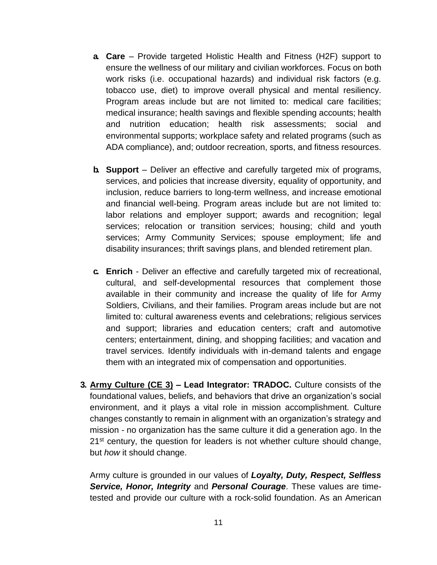- **a. Care**  Provide targeted Holistic Health and Fitness (H2F) support to ensure the wellness of our military and civilian workforces. Focus on both work risks (i.e. occupational hazards) and individual risk factors (e.g. tobacco use, diet) to improve overall physical and mental resiliency. Program areas include but are not limited to: medical care facilities; medical insurance; health savings and flexible spending accounts; health and nutrition education; health risk assessments; social and environmental supports; workplace safety and related programs (such as ADA compliance), and; outdoor recreation, sports, and fitness resources.
- **b. Support** Deliver an effective and carefully targeted mix of programs, services, and policies that increase diversity, equality of opportunity, and inclusion, reduce barriers to long-term wellness, and increase emotional and financial well-being. Program areas include but are not limited to: labor relations and employer support; awards and recognition; legal services; relocation or transition services; housing; child and youth services; Army Community Services; spouse employment; life and disability insurances; thrift savings plans, and blended retirement plan.
- **c. Enrich** Deliver an effective and carefully targeted mix of recreational, cultural, and self-developmental resources that complement those available in their community and increase the quality of life for Army Soldiers, Civilians, and their families. Program areas include but are not limited to: cultural awareness events and celebrations; religious services and support; libraries and education centers; craft and automotive centers; entertainment, dining, and shopping facilities; and vacation and travel services. Identify individuals with in-demand talents and engage them with an integrated mix of compensation and opportunities.
- **3. Army Culture (CE 3) – Lead Integrator: TRADOC.** Culture consists of the foundational values, beliefs, and behaviors that drive an organization's social environment, and it plays a vital role in mission accomplishment. Culture changes constantly to remain in alignment with an organization's strategy and mission - no organization has the same culture it did a generation ago. In the 21<sup>st</sup> century, the question for leaders is not whether culture should change, but *how* it should change.

Army culture is grounded in our values of *Loyalty, Duty, Respect, Selfless Service, Honor, Integrity* and *Personal Courage*. These values are timetested and provide our culture with a rock-solid foundation. As an American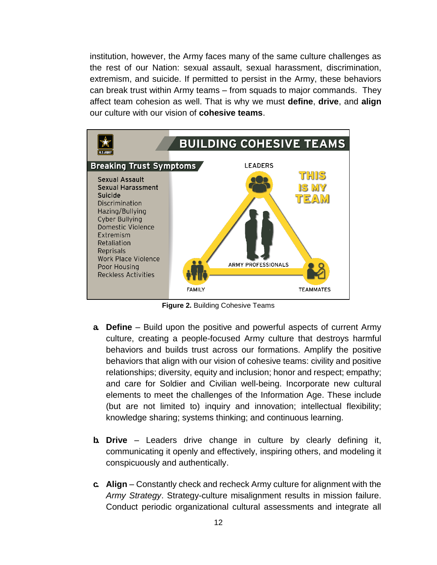institution, however, the Army faces many of the same culture challenges as the rest of our Nation: sexual assault, sexual harassment, discrimination, extremism, and suicide. If permitted to persist in the Army, these behaviors can break trust within Army teams – from squads to major commands. They affect team cohesion as well. That is why we must **define**, **drive**, and **align** our culture with our vision of **cohesive teams**.



**Figure 2.** Building Cohesive Teams

- **a. Define**  Build upon the positive and powerful aspects of current Army culture, creating a people-focused Army culture that destroys harmful behaviors and builds trust across our formations. Amplify the positive behaviors that align with our vision of cohesive teams: civility and positive relationships; diversity, equity and inclusion; honor and respect; empathy; and care for Soldier and Civilian well-being. Incorporate new cultural elements to meet the challenges of the Information Age. These include (but are not limited to) inquiry and innovation; intellectual flexibility; knowledge sharing; systems thinking; and continuous learning.
- **b. Drive** Leaders drive change in culture by clearly defining it, communicating it openly and effectively, inspiring others, and modeling it conspicuously and authentically.
- **c. Align** Constantly check and recheck Army culture for alignment with the *Army Strategy*. Strategy-culture misalignment results in mission failure. Conduct periodic organizational cultural assessments and integrate all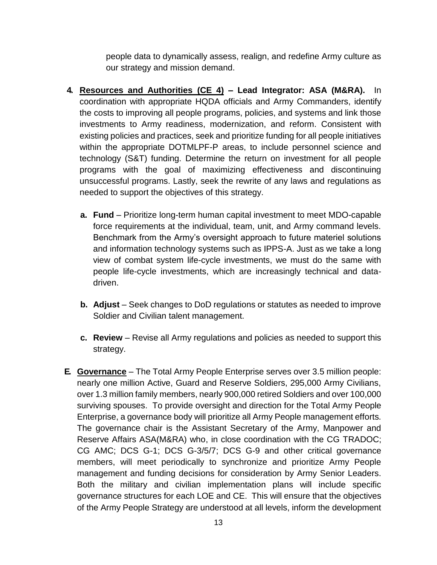people data to dynamically assess, realign, and redefine Army culture as our strategy and mission demand.

- **4. Resources and Authorities (CE 4) – Lead Integrator: ASA (M&RA).** In coordination with appropriate HQDA officials and Army Commanders, identify the costs to improving all people programs, policies, and systems and link those investments to Army readiness, modernization, and reform. Consistent with existing policies and practices, seek and prioritize funding for all people initiatives within the appropriate DOTMLPF-P areas, to include personnel science and technology (S&T) funding. Determine the return on investment for all people programs with the goal of maximizing effectiveness and discontinuing unsuccessful programs. Lastly, seek the rewrite of any laws and regulations as needed to support the objectives of this strategy.
	- **a. Fund**  Prioritize long-term human capital investment to meet MDO-capable force requirements at the individual, team, unit, and Army command levels. Benchmark from the Army's oversight approach to future materiel solutions and information technology systems such as IPPS-A. Just as we take a long view of combat system life-cycle investments, we must do the same with people life-cycle investments, which are increasingly technical and datadriven.
	- **b.** Adjust Seek changes to DoD regulations or statutes as needed to improve Soldier and Civilian talent management.
	- **c. Review** Revise all Army regulations and policies as needed to support this strategy.
- **E. Governance** The Total Army People Enterprise serves over 3.5 million people: nearly one million Active, Guard and Reserve Soldiers, 295,000 Army Civilians, over 1.3 million family members, nearly 900,000 retired Soldiers and over 100,000 surviving spouses. To provide oversight and direction for the Total Army People Enterprise, a governance body will prioritize all Army People management efforts. The governance chair is the Assistant Secretary of the Army, Manpower and Reserve Affairs ASA(M&RA) who, in close coordination with the CG TRADOC; CG AMC; DCS G-1; DCS G-3/5/7; DCS G-9 and other critical governance members, will meet periodically to synchronize and prioritize Army People management and funding decisions for consideration by Army Senior Leaders. Both the military and civilian implementation plans will include specific governance structures for each LOE and CE. This will ensure that the objectives of the Army People Strategy are understood at all levels, inform the development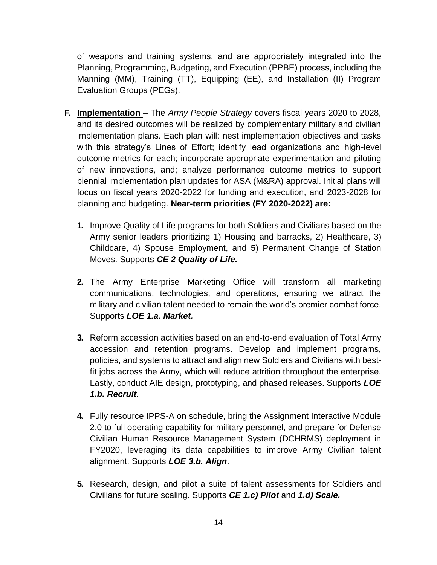of weapons and training systems, and are appropriately integrated into the Planning, Programming, Budgeting, and Execution (PPBE) process, including the Manning (MM), Training (TT), Equipping (EE), and Installation (II) Program Evaluation Groups (PEGs).

- **F. Implementation**  The *Army People Strategy* covers fiscal years 2020 to 2028, and its desired outcomes will be realized by complementary military and civilian implementation plans. Each plan will: nest implementation objectives and tasks with this strategy's Lines of Effort; identify lead organizations and high-level outcome metrics for each; incorporate appropriate experimentation and piloting of new innovations, and; analyze performance outcome metrics to support biennial implementation plan updates for ASA (M&RA) approval. Initial plans will focus on fiscal years 2020-2022 for funding and execution, and 2023-2028 for planning and budgeting. **Near-term priorities (FY 2020-2022) are:**
	- **1.** Improve Quality of Life programs for both Soldiers and Civilians based on the Army senior leaders prioritizing 1) Housing and barracks, 2) Healthcare, 3) Childcare, 4) Spouse Employment, and 5) Permanent Change of Station Moves. Supports *CE 2 Quality of Life.*
	- **2.** The Army Enterprise Marketing Office will transform all marketing communications, technologies, and operations, ensuring we attract the military and civilian talent needed to remain the world's premier combat force. Supports *LOE 1.a. Market.*
	- **3.** Reform accession activities based on an end-to-end evaluation of Total Army accession and retention programs. Develop and implement programs, policies, and systems to attract and align new Soldiers and Civilians with bestfit jobs across the Army, which will reduce attrition throughout the enterprise. Lastly, conduct AIE design, prototyping, and phased releases. Supports *LOE 1.b. Recruit.*
	- **4.** Fully resource IPPS-A on schedule, bring the Assignment Interactive Module 2.0 to full operating capability for military personnel, and prepare for Defense Civilian Human Resource Management System (DCHRMS) deployment in FY2020, leveraging its data capabilities to improve Army Civilian talent alignment. Supports *LOE 3.b. Align*.
	- **5.** Research, design, and pilot a suite of talent assessments for Soldiers and Civilians for future scaling. Supports *CE 1.c) Pilot* and *1.d) Scale.*